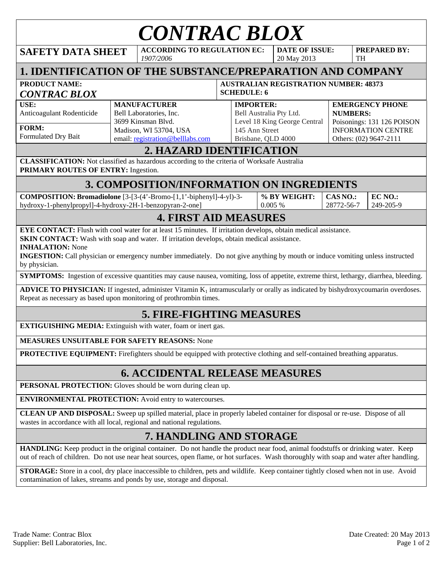| <b>CONTRAC BLOX</b>                                                                                                                                                                                                                                                                                                                                                                                                                                                                                                                                                                                                                                          |                                                                                                                                    |                                                 |  |                                                                                                                     |                                      |                        |                        |                                                                                                                                |                      |  |  |
|--------------------------------------------------------------------------------------------------------------------------------------------------------------------------------------------------------------------------------------------------------------------------------------------------------------------------------------------------------------------------------------------------------------------------------------------------------------------------------------------------------------------------------------------------------------------------------------------------------------------------------------------------------------|------------------------------------------------------------------------------------------------------------------------------------|-------------------------------------------------|--|---------------------------------------------------------------------------------------------------------------------|--------------------------------------|------------------------|------------------------|--------------------------------------------------------------------------------------------------------------------------------|----------------------|--|--|
| <b>SAFETY DATA SHEET</b>                                                                                                                                                                                                                                                                                                                                                                                                                                                                                                                                                                                                                                     |                                                                                                                                    | <b>ACCORDING TO REGULATION EC:</b><br>1907/2006 |  |                                                                                                                     | <b>DATE OF ISSUE:</b><br>20 May 2013 |                        |                        | <b>TH</b>                                                                                                                      | <b>PREPARED BY:</b>  |  |  |
| 1. IDENTIFICATION OF THE SUBSTANCE/PREPARATION AND COMPANY                                                                                                                                                                                                                                                                                                                                                                                                                                                                                                                                                                                                   |                                                                                                                                    |                                                 |  |                                                                                                                     |                                      |                        |                        |                                                                                                                                |                      |  |  |
| <b>PRODUCT NAME:</b><br><b>CONTRAC BLOX</b>                                                                                                                                                                                                                                                                                                                                                                                                                                                                                                                                                                                                                  | <b>AUSTRALIAN REGISTRATION NUMBER: 48373</b><br><b>SCHEDULE: 6</b>                                                                 |                                                 |  |                                                                                                                     |                                      |                        |                        |                                                                                                                                |                      |  |  |
| USE:<br>Anticoagulant Rodenticide<br>FORM:<br>Formulated Dry Bait                                                                                                                                                                                                                                                                                                                                                                                                                                                                                                                                                                                            | <b>MANUFACTURER</b><br>Bell Laboratories, Inc.<br>3699 Kinsman Blvd.<br>Madison, WI 53704, USA<br>email: registration@belllabs.com |                                                 |  | <b>IMPORTER:</b><br>Bell Australia Pty Ltd.<br>Level 18 King George Central<br>145 Ann Street<br>Brisbane, QLD 4000 |                                      |                        |                        | <b>EMERGENCY PHONE</b><br><b>NUMBERS:</b><br>Poisonings: 131 126 POISON<br><b>INFORMATION CENTRE</b><br>Others: (02) 9647-2111 |                      |  |  |
| 2. HAZARD IDENTIFICATION<br><b>CLASSIFICATION:</b> Not classified as hazardous according to the criteria of Worksafe Australia<br>PRIMARY ROUTES OF ENTRY: Ingestion.                                                                                                                                                                                                                                                                                                                                                                                                                                                                                        |                                                                                                                                    |                                                 |  |                                                                                                                     |                                      |                        |                        |                                                                                                                                |                      |  |  |
| 3. COMPOSITION/INFORMATION ON INGREDIENTS                                                                                                                                                                                                                                                                                                                                                                                                                                                                                                                                                                                                                    |                                                                                                                                    |                                                 |  |                                                                                                                     |                                      |                        |                        |                                                                                                                                |                      |  |  |
| COMPOSITION: Bromadiolone [3-[3-(4'-Bromo-[1,1'-biphenyl]-4-yl)-3-<br>hydroxy-1-phenylpropyl]-4-hydroxy-2H-1-benzopyran-2-one]                                                                                                                                                                                                                                                                                                                                                                                                                                                                                                                               |                                                                                                                                    |                                                 |  |                                                                                                                     |                                      | % BY WEIGHT:<br>0.005% | CAS NO.:<br>28772-56-7 |                                                                                                                                | EC NO.:<br>249-205-9 |  |  |
|                                                                                                                                                                                                                                                                                                                                                                                                                                                                                                                                                                                                                                                              |                                                                                                                                    | <b>4. FIRST AID MEASURES</b>                    |  |                                                                                                                     |                                      |                        |                        |                                                                                                                                |                      |  |  |
| <b>SKIN CONTACT:</b> Wash with soap and water. If irritation develops, obtain medical assistance.<br><b>INHALATION:</b> None<br><b>INGESTION:</b> Call physician or emergency number immediately. Do not give anything by mouth or induce vomiting unless instructed<br>by physician.<br><b>SYMPTOMS:</b> Ingestion of excessive quantities may cause nausea, vomiting, loss of appetite, extreme thirst, lethargy, diarrhea, bleeding.<br>ADVICE TO PHYSICIAN: If ingested, administer Vitamin K <sub>1</sub> intramuscularly or orally as indicated by bishydroxycoumarin overdoses.<br>Repeat as necessary as based upon monitoring of prothrombin times. |                                                                                                                                    |                                                 |  |                                                                                                                     |                                      |                        |                        |                                                                                                                                |                      |  |  |
| <b>5. FIRE-FIGHTING MEASURES</b>                                                                                                                                                                                                                                                                                                                                                                                                                                                                                                                                                                                                                             |                                                                                                                                    |                                                 |  |                                                                                                                     |                                      |                        |                        |                                                                                                                                |                      |  |  |
| <b>EXTIGUISHING MEDIA:</b> Extinguish with water, foam or inert gas.                                                                                                                                                                                                                                                                                                                                                                                                                                                                                                                                                                                         |                                                                                                                                    |                                                 |  |                                                                                                                     |                                      |                        |                        |                                                                                                                                |                      |  |  |
| <b>MEASURES UNSUITABLE FOR SAFETY REASONS: None</b>                                                                                                                                                                                                                                                                                                                                                                                                                                                                                                                                                                                                          |                                                                                                                                    |                                                 |  |                                                                                                                     |                                      |                        |                        |                                                                                                                                |                      |  |  |
| <b>PROTECTIVE EQUIPMENT:</b> Firefighters should be equipped with protective clothing and self-contained breathing apparatus.                                                                                                                                                                                                                                                                                                                                                                                                                                                                                                                                |                                                                                                                                    |                                                 |  |                                                                                                                     |                                      |                        |                        |                                                                                                                                |                      |  |  |
| <b>6. ACCIDENTAL RELEASE MEASURES</b>                                                                                                                                                                                                                                                                                                                                                                                                                                                                                                                                                                                                                        |                                                                                                                                    |                                                 |  |                                                                                                                     |                                      |                        |                        |                                                                                                                                |                      |  |  |
| PERSONAL PROTECTION: Gloves should be worn during clean up.                                                                                                                                                                                                                                                                                                                                                                                                                                                                                                                                                                                                  |                                                                                                                                    |                                                 |  |                                                                                                                     |                                      |                        |                        |                                                                                                                                |                      |  |  |
| <b>ENVIRONMENTAL PROTECTION:</b> Avoid entry to watercourses.                                                                                                                                                                                                                                                                                                                                                                                                                                                                                                                                                                                                |                                                                                                                                    |                                                 |  |                                                                                                                     |                                      |                        |                        |                                                                                                                                |                      |  |  |
| CLEAN UP AND DISPOSAL: Sweep up spilled material, place in properly labeled container for disposal or re-use. Dispose of all<br>wastes in accordance with all local, regional and national regulations.                                                                                                                                                                                                                                                                                                                                                                                                                                                      |                                                                                                                                    |                                                 |  |                                                                                                                     |                                      |                        |                        |                                                                                                                                |                      |  |  |
| 7. HANDLING AND STORAGE                                                                                                                                                                                                                                                                                                                                                                                                                                                                                                                                                                                                                                      |                                                                                                                                    |                                                 |  |                                                                                                                     |                                      |                        |                        |                                                                                                                                |                      |  |  |
| HANDLING: Keep product in the original container. Do not handle the product near food, animal foodstuffs or drinking water. Keep<br>out of reach of children. Do not use near heat sources, open flame, or hot surfaces. Wash thoroughly with soap and water after handling.                                                                                                                                                                                                                                                                                                                                                                                 |                                                                                                                                    |                                                 |  |                                                                                                                     |                                      |                        |                        |                                                                                                                                |                      |  |  |
| <b>STORAGE:</b> Store in a cool, dry place inaccessible to children, pets and wildlife. Keep container tightly closed when not in use. Avoid<br>contamination of lakes, streams and ponds by use, storage and disposal.                                                                                                                                                                                                                                                                                                                                                                                                                                      |                                                                                                                                    |                                                 |  |                                                                                                                     |                                      |                        |                        |                                                                                                                                |                      |  |  |
|                                                                                                                                                                                                                                                                                                                                                                                                                                                                                                                                                                                                                                                              |                                                                                                                                    |                                                 |  |                                                                                                                     |                                      |                        |                        |                                                                                                                                |                      |  |  |